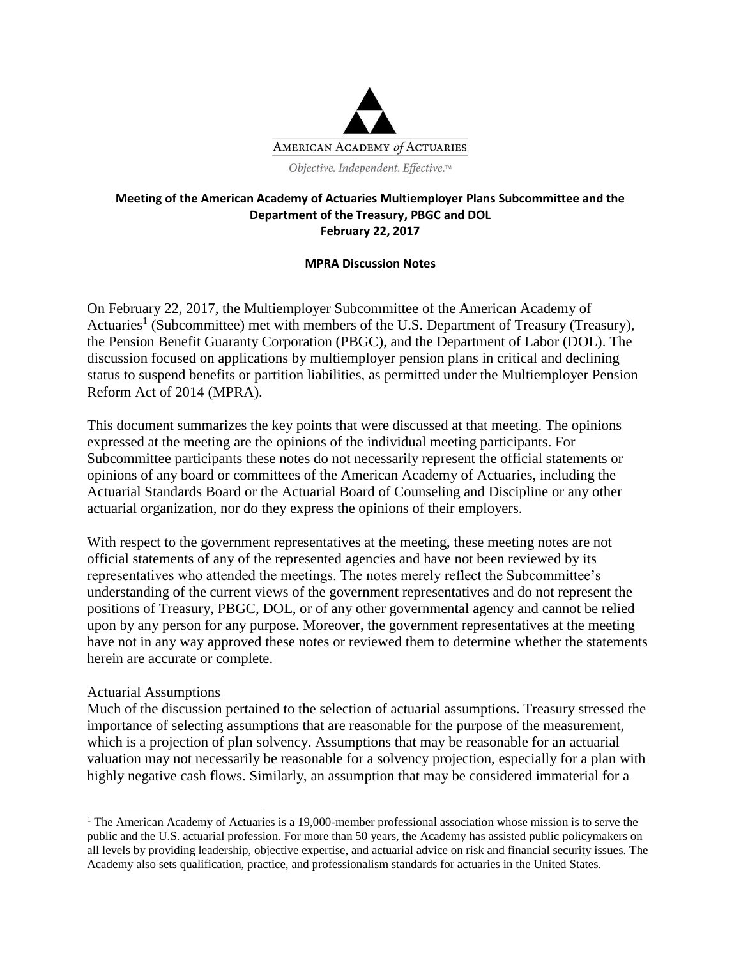

### **Meeting of the American Academy of Actuaries Multiemployer Plans Subcommittee and the Department of the Treasury, PBGC and DOL February 22, 2017**

### **MPRA Discussion Notes**

On February 22, 2017, the Multiemployer Subcommittee of the American Academy of Actuaries<sup>1</sup> (Subcommittee) met with members of the U.S. Department of Treasury (Treasury), the Pension Benefit Guaranty Corporation (PBGC), and the Department of Labor (DOL). The discussion focused on applications by multiemployer pension plans in critical and declining status to suspend benefits or partition liabilities, as permitted under the Multiemployer Pension Reform Act of 2014 (MPRA).

This document summarizes the key points that were discussed at that meeting. The opinions expressed at the meeting are the opinions of the individual meeting participants. For Subcommittee participants these notes do not necessarily represent the official statements or opinions of any board or committees of the American Academy of Actuaries, including the Actuarial Standards Board or the Actuarial Board of Counseling and Discipline or any other actuarial organization, nor do they express the opinions of their employers.

With respect to the government representatives at the meeting, these meeting notes are not official statements of any of the represented agencies and have not been reviewed by its representatives who attended the meetings. The notes merely reflect the Subcommittee's understanding of the current views of the government representatives and do not represent the positions of Treasury, PBGC, DOL, or of any other governmental agency and cannot be relied upon by any person for any purpose. Moreover, the government representatives at the meeting have not in any way approved these notes or reviewed them to determine whether the statements herein are accurate or complete.

## Actuarial Assumptions

 $\overline{\phantom{a}}$ 

Much of the discussion pertained to the selection of actuarial assumptions. Treasury stressed the importance of selecting assumptions that are reasonable for the purpose of the measurement, which is a projection of plan solvency. Assumptions that may be reasonable for an actuarial valuation may not necessarily be reasonable for a solvency projection, especially for a plan with highly negative cash flows. Similarly, an assumption that may be considered immaterial for a

<sup>&</sup>lt;sup>1</sup> The American Academy of Actuaries is a 19,000-member professional association whose mission is to serve the public and the U.S. actuarial profession. For more than 50 years, the Academy has assisted public policymakers on all levels by providing leadership, objective expertise, and actuarial advice on risk and financial security issues. The Academy also sets qualification, practice, and professionalism standards for actuaries in the United States.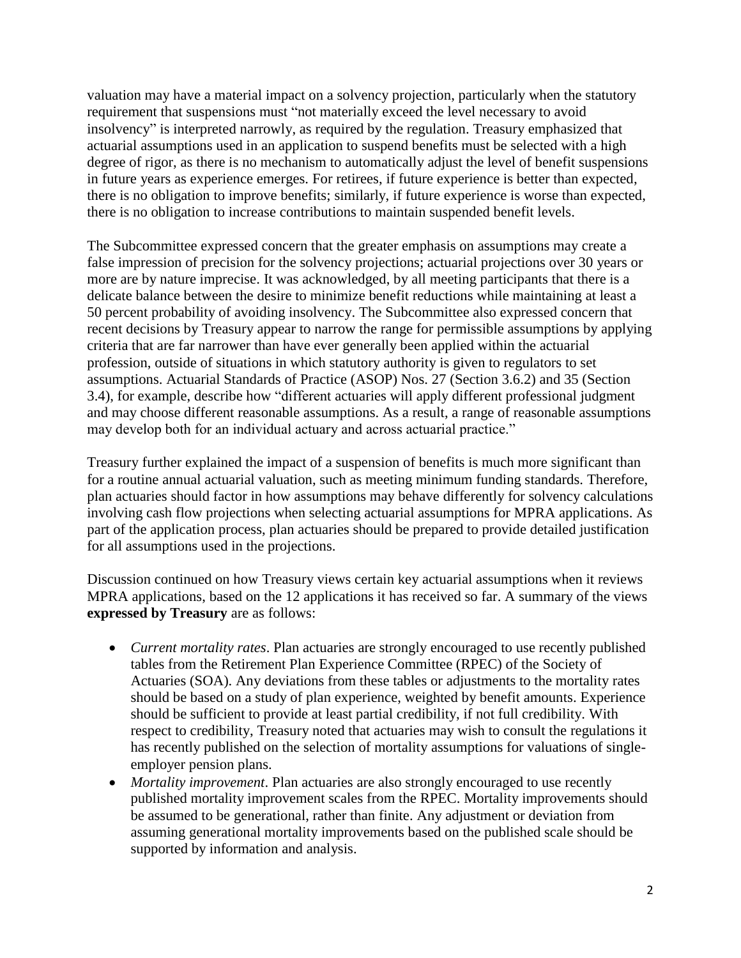valuation may have a material impact on a solvency projection, particularly when the statutory requirement that suspensions must "not materially exceed the level necessary to avoid insolvency" is interpreted narrowly, as required by the regulation. Treasury emphasized that actuarial assumptions used in an application to suspend benefits must be selected with a high degree of rigor, as there is no mechanism to automatically adjust the level of benefit suspensions in future years as experience emerges. For retirees, if future experience is better than expected, there is no obligation to improve benefits; similarly, if future experience is worse than expected, there is no obligation to increase contributions to maintain suspended benefit levels.

The Subcommittee expressed concern that the greater emphasis on assumptions may create a false impression of precision for the solvency projections; actuarial projections over 30 years or more are by nature imprecise. It was acknowledged, by all meeting participants that there is a delicate balance between the desire to minimize benefit reductions while maintaining at least a 50 percent probability of avoiding insolvency. The Subcommittee also expressed concern that recent decisions by Treasury appear to narrow the range for permissible assumptions by applying criteria that are far narrower than have ever generally been applied within the actuarial profession, outside of situations in which statutory authority is given to regulators to set assumptions. Actuarial Standards of Practice (ASOP) Nos. 27 (Section 3.6.2) and 35 (Section 3.4), for example, describe how "different actuaries will apply different professional judgment and may choose different reasonable assumptions. As a result, a range of reasonable assumptions may develop both for an individual actuary and across actuarial practice."

Treasury further explained the impact of a suspension of benefits is much more significant than for a routine annual actuarial valuation, such as meeting minimum funding standards. Therefore, plan actuaries should factor in how assumptions may behave differently for solvency calculations involving cash flow projections when selecting actuarial assumptions for MPRA applications. As part of the application process, plan actuaries should be prepared to provide detailed justification for all assumptions used in the projections.

Discussion continued on how Treasury views certain key actuarial assumptions when it reviews MPRA applications, based on the 12 applications it has received so far. A summary of the views **expressed by Treasury** are as follows:

- *Current mortality rates*. Plan actuaries are strongly encouraged to use recently published tables from the Retirement Plan Experience Committee (RPEC) of the Society of Actuaries (SOA). Any deviations from these tables or adjustments to the mortality rates should be based on a study of plan experience, weighted by benefit amounts. Experience should be sufficient to provide at least partial credibility, if not full credibility. With respect to credibility, Treasury noted that actuaries may wish to consult the regulations it has recently published on the selection of mortality assumptions for valuations of singleemployer pension plans.
- *Mortality improvement*. Plan actuaries are also strongly encouraged to use recently published mortality improvement scales from the RPEC. Mortality improvements should be assumed to be generational, rather than finite. Any adjustment or deviation from assuming generational mortality improvements based on the published scale should be supported by information and analysis.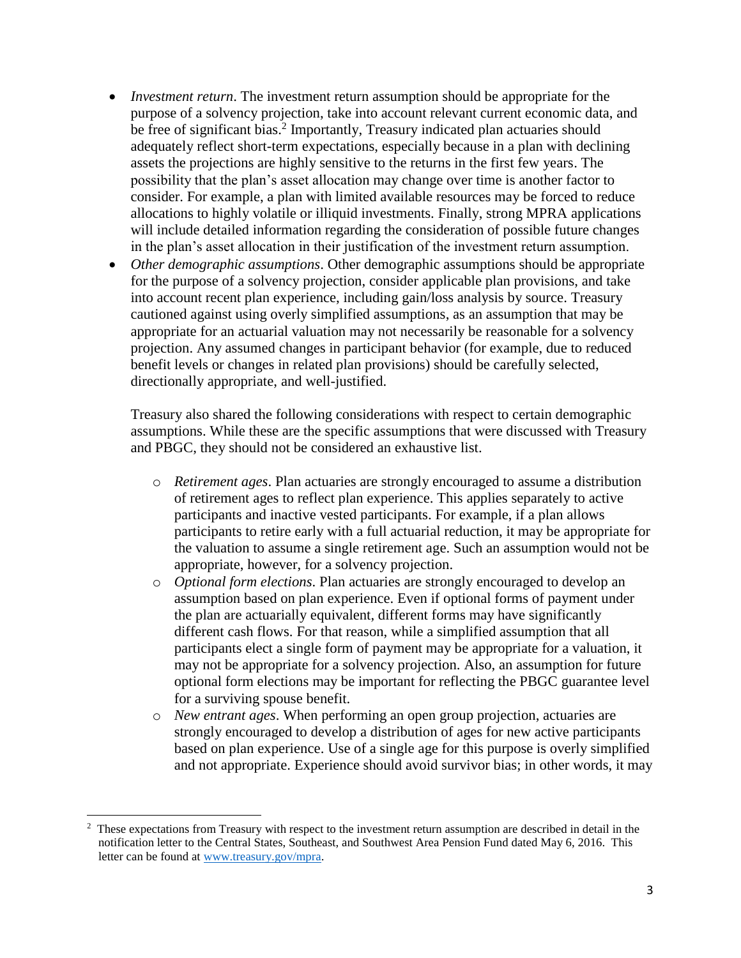- *Investment return*. The investment return assumption should be appropriate for the purpose of a solvency projection, take into account relevant current economic data, and be free of significant bias.<sup>2</sup> Importantly, Treasury indicated plan actuaries should adequately reflect short-term expectations, especially because in a plan with declining assets the projections are highly sensitive to the returns in the first few years. The possibility that the plan's asset allocation may change over time is another factor to consider. For example, a plan with limited available resources may be forced to reduce allocations to highly volatile or illiquid investments. Finally, strong MPRA applications will include detailed information regarding the consideration of possible future changes in the plan's asset allocation in their justification of the investment return assumption.
- *Other demographic assumptions*. Other demographic assumptions should be appropriate for the purpose of a solvency projection, consider applicable plan provisions, and take into account recent plan experience, including gain/loss analysis by source. Treasury cautioned against using overly simplified assumptions, as an assumption that may be appropriate for an actuarial valuation may not necessarily be reasonable for a solvency projection. Any assumed changes in participant behavior (for example, due to reduced benefit levels or changes in related plan provisions) should be carefully selected, directionally appropriate, and well-justified.

Treasury also shared the following considerations with respect to certain demographic assumptions. While these are the specific assumptions that were discussed with Treasury and PBGC, they should not be considered an exhaustive list.

- o *Retirement ages*. Plan actuaries are strongly encouraged to assume a distribution of retirement ages to reflect plan experience. This applies separately to active participants and inactive vested participants. For example, if a plan allows participants to retire early with a full actuarial reduction, it may be appropriate for the valuation to assume a single retirement age. Such an assumption would not be appropriate, however, for a solvency projection.
- o *Optional form elections*. Plan actuaries are strongly encouraged to develop an assumption based on plan experience. Even if optional forms of payment under the plan are actuarially equivalent, different forms may have significantly different cash flows. For that reason, while a simplified assumption that all participants elect a single form of payment may be appropriate for a valuation, it may not be appropriate for a solvency projection. Also, an assumption for future optional form elections may be important for reflecting the PBGC guarantee level for a surviving spouse benefit.
- o *New entrant ages*. When performing an open group projection, actuaries are strongly encouraged to develop a distribution of ages for new active participants based on plan experience. Use of a single age for this purpose is overly simplified and not appropriate. Experience should avoid survivor bias; in other words, it may

 $\overline{\phantom{a}}$ 

<sup>&</sup>lt;sup>2</sup> These expectations from Treasury with respect to the investment return assumption are described in detail in the notification letter to the Central States, Southeast, and Southwest Area Pension Fund dated May 6, 2016. This letter can be found at [www.treasury.gov/mpra.](http://www.treasury.gov/mpra)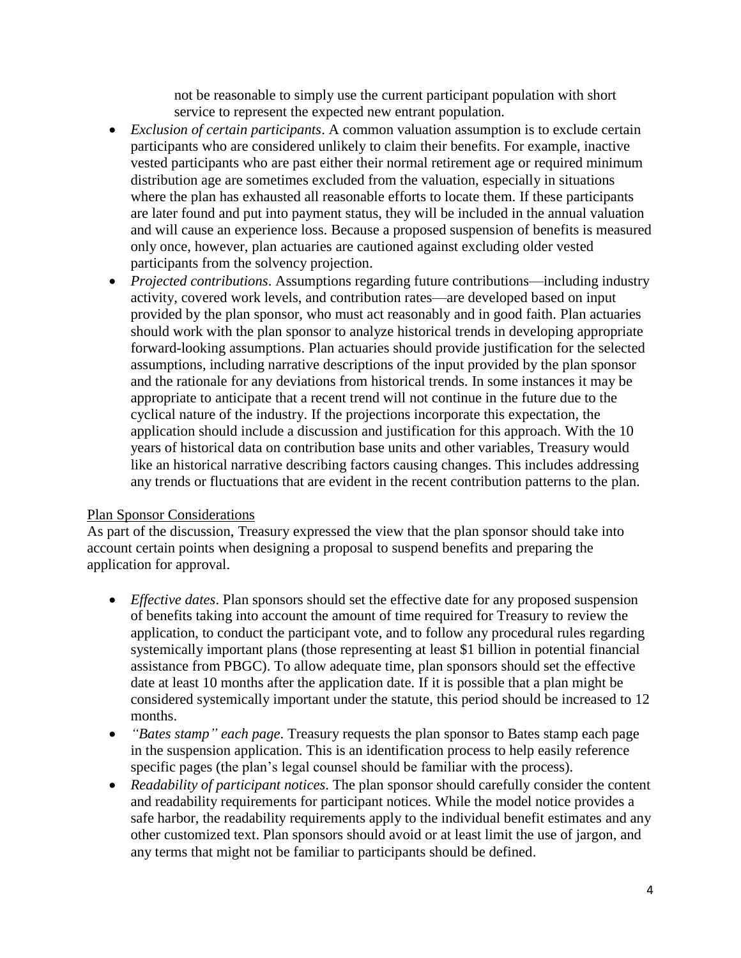not be reasonable to simply use the current participant population with short service to represent the expected new entrant population.

- *Exclusion of certain participants*. A common valuation assumption is to exclude certain participants who are considered unlikely to claim their benefits. For example, inactive vested participants who are past either their normal retirement age or required minimum distribution age are sometimes excluded from the valuation, especially in situations where the plan has exhausted all reasonable efforts to locate them. If these participants are later found and put into payment status, they will be included in the annual valuation and will cause an experience loss. Because a proposed suspension of benefits is measured only once, however, plan actuaries are cautioned against excluding older vested participants from the solvency projection.
- *Projected contributions*. Assumptions regarding future contributions—including industry activity, covered work levels, and contribution rates—are developed based on input provided by the plan sponsor, who must act reasonably and in good faith. Plan actuaries should work with the plan sponsor to analyze historical trends in developing appropriate forward-looking assumptions. Plan actuaries should provide justification for the selected assumptions, including narrative descriptions of the input provided by the plan sponsor and the rationale for any deviations from historical trends. In some instances it may be appropriate to anticipate that a recent trend will not continue in the future due to the cyclical nature of the industry. If the projections incorporate this expectation, the application should include a discussion and justification for this approach. With the 10 years of historical data on contribution base units and other variables, Treasury would like an historical narrative describing factors causing changes. This includes addressing any trends or fluctuations that are evident in the recent contribution patterns to the plan.

# Plan Sponsor Considerations

As part of the discussion, Treasury expressed the view that the plan sponsor should take into account certain points when designing a proposal to suspend benefits and preparing the application for approval.

- *Effective dates*. Plan sponsors should set the effective date for any proposed suspension of benefits taking into account the amount of time required for Treasury to review the application, to conduct the participant vote, and to follow any procedural rules regarding systemically important plans (those representing at least \$1 billion in potential financial assistance from PBGC). To allow adequate time, plan sponsors should set the effective date at least 10 months after the application date. If it is possible that a plan might be considered systemically important under the statute, this period should be increased to 12 months.
- *"Bates stamp" each page*. Treasury requests the plan sponsor to Bates stamp each page in the suspension application. This is an identification process to help easily reference specific pages (the plan's legal counsel should be familiar with the process).
- *Readability of participant notices*. The plan sponsor should carefully consider the content and readability requirements for participant notices. While the model notice provides a safe harbor, the readability requirements apply to the individual benefit estimates and any other customized text. Plan sponsors should avoid or at least limit the use of jargon, and any terms that might not be familiar to participants should be defined.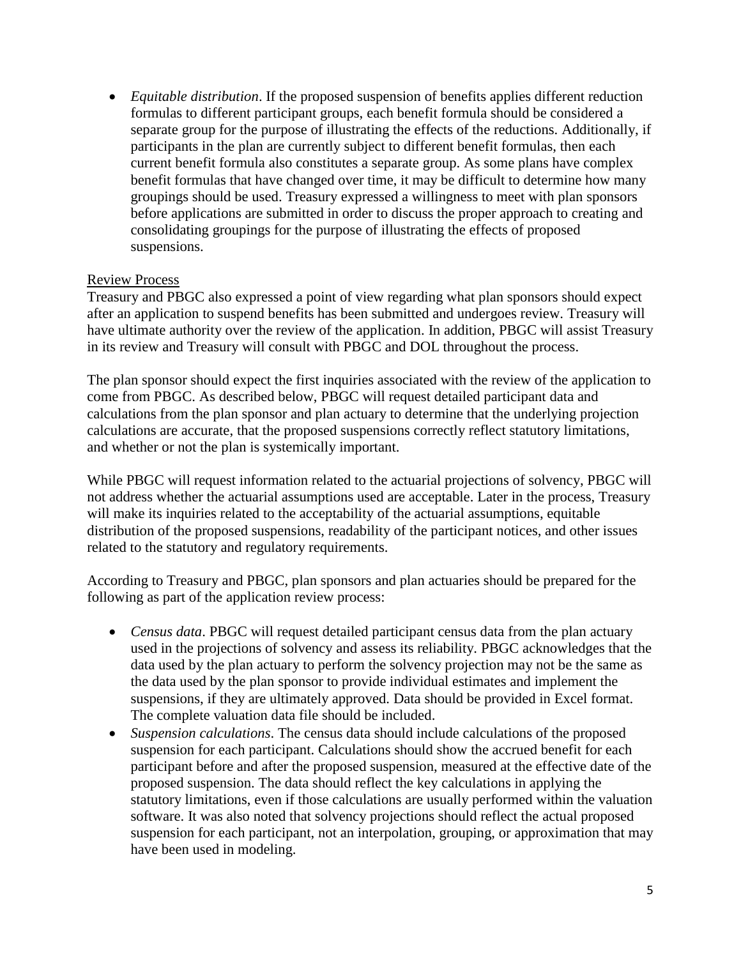*Equitable distribution*. If the proposed suspension of benefits applies different reduction formulas to different participant groups, each benefit formula should be considered a separate group for the purpose of illustrating the effects of the reductions. Additionally, if participants in the plan are currently subject to different benefit formulas, then each current benefit formula also constitutes a separate group. As some plans have complex benefit formulas that have changed over time, it may be difficult to determine how many groupings should be used. Treasury expressed a willingness to meet with plan sponsors before applications are submitted in order to discuss the proper approach to creating and consolidating groupings for the purpose of illustrating the effects of proposed suspensions.

## Review Process

Treasury and PBGC also expressed a point of view regarding what plan sponsors should expect after an application to suspend benefits has been submitted and undergoes review. Treasury will have ultimate authority over the review of the application. In addition, PBGC will assist Treasury in its review and Treasury will consult with PBGC and DOL throughout the process.

The plan sponsor should expect the first inquiries associated with the review of the application to come from PBGC. As described below, PBGC will request detailed participant data and calculations from the plan sponsor and plan actuary to determine that the underlying projection calculations are accurate, that the proposed suspensions correctly reflect statutory limitations, and whether or not the plan is systemically important.

While PBGC will request information related to the actuarial projections of solvency, PBGC will not address whether the actuarial assumptions used are acceptable. Later in the process, Treasury will make its inquiries related to the acceptability of the actuarial assumptions, equitable distribution of the proposed suspensions, readability of the participant notices, and other issues related to the statutory and regulatory requirements.

According to Treasury and PBGC, plan sponsors and plan actuaries should be prepared for the following as part of the application review process:

- *Census data*. PBGC will request detailed participant census data from the plan actuary used in the projections of solvency and assess its reliability. PBGC acknowledges that the data used by the plan actuary to perform the solvency projection may not be the same as the data used by the plan sponsor to provide individual estimates and implement the suspensions, if they are ultimately approved. Data should be provided in Excel format. The complete valuation data file should be included.
- *Suspension calculations*. The census data should include calculations of the proposed suspension for each participant. Calculations should show the accrued benefit for each participant before and after the proposed suspension, measured at the effective date of the proposed suspension. The data should reflect the key calculations in applying the statutory limitations, even if those calculations are usually performed within the valuation software. It was also noted that solvency projections should reflect the actual proposed suspension for each participant, not an interpolation, grouping, or approximation that may have been used in modeling.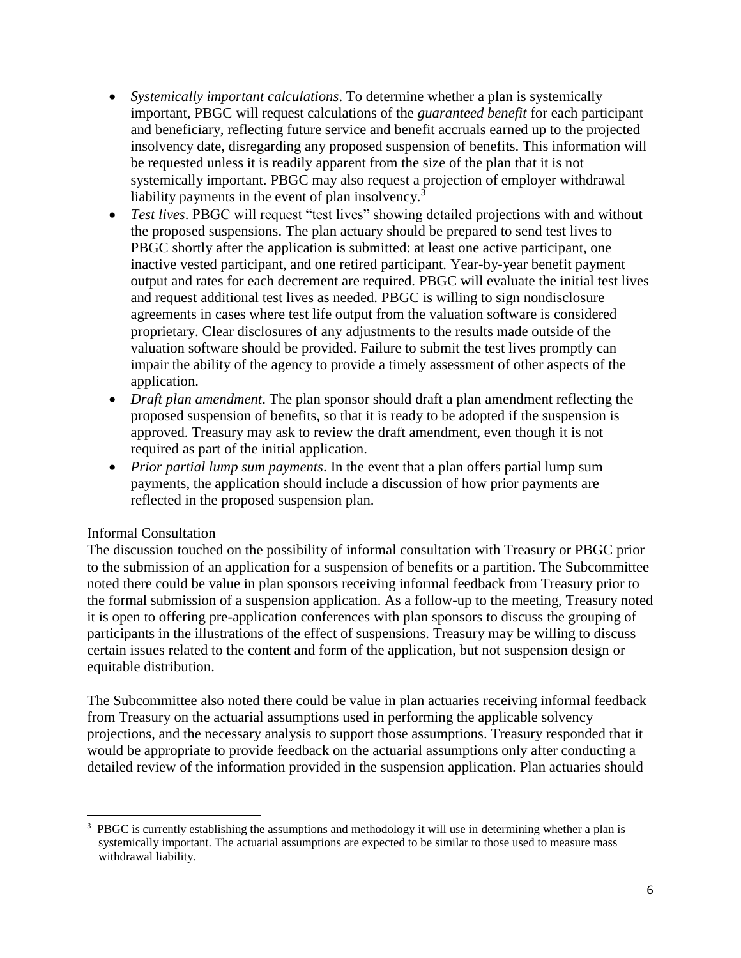- *Systemically important calculations*. To determine whether a plan is systemically important, PBGC will request calculations of the *guaranteed benefit* for each participant and beneficiary, reflecting future service and benefit accruals earned up to the projected insolvency date, disregarding any proposed suspension of benefits. This information will be requested unless it is readily apparent from the size of the plan that it is not systemically important. PBGC may also request a projection of employer withdrawal liability payments in the event of plan insolvency.<sup>3</sup>
- *Test lives*. PBGC will request "test lives" showing detailed projections with and without the proposed suspensions. The plan actuary should be prepared to send test lives to PBGC shortly after the application is submitted: at least one active participant, one inactive vested participant, and one retired participant. Year-by-year benefit payment output and rates for each decrement are required. PBGC will evaluate the initial test lives and request additional test lives as needed. PBGC is willing to sign nondisclosure agreements in cases where test life output from the valuation software is considered proprietary. Clear disclosures of any adjustments to the results made outside of the valuation software should be provided. Failure to submit the test lives promptly can impair the ability of the agency to provide a timely assessment of other aspects of the application.
- *Draft plan amendment*. The plan sponsor should draft a plan amendment reflecting the proposed suspension of benefits, so that it is ready to be adopted if the suspension is approved. Treasury may ask to review the draft amendment, even though it is not required as part of the initial application.
- *Prior partial lump sum payments*. In the event that a plan offers partial lump sum payments, the application should include a discussion of how prior payments are reflected in the proposed suspension plan.

# Informal Consultation

The discussion touched on the possibility of informal consultation with Treasury or PBGC prior to the submission of an application for a suspension of benefits or a partition. The Subcommittee noted there could be value in plan sponsors receiving informal feedback from Treasury prior to the formal submission of a suspension application. As a follow-up to the meeting, Treasury noted it is open to offering pre-application conferences with plan sponsors to discuss the grouping of participants in the illustrations of the effect of suspensions. Treasury may be willing to discuss certain issues related to the content and form of the application, but not suspension design or equitable distribution.

The Subcommittee also noted there could be value in plan actuaries receiving informal feedback from Treasury on the actuarial assumptions used in performing the applicable solvency projections, and the necessary analysis to support those assumptions. Treasury responded that it would be appropriate to provide feedback on the actuarial assumptions only after conducting a detailed review of the information provided in the suspension application. Plan actuaries should

 $\overline{\phantom{a}}$ <sup>3</sup> PBGC is currently establishing the assumptions and methodology it will use in determining whether a plan is systemically important. The actuarial assumptions are expected to be similar to those used to measure mass withdrawal liability.